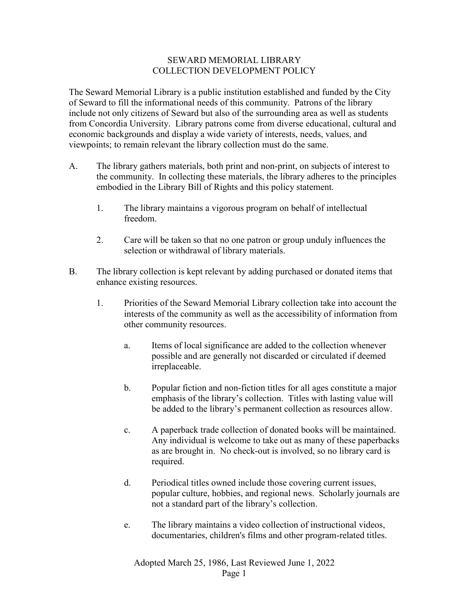## SEWARD MEMORIAL LIBRARY COLLECTION DEVELOPMENT POLICY

The Seward Memorial Library is a public institution established and funded by the City of Seward to fill the informational needs of this community. Patrons of the library include not only citizens of Seward but also of the surrounding area as well as students from Concordia University. Library patrons come from diverse educational, cultural and economic backgrounds and display a wide variety of interests, needs, values, and viewpoints; to remain relevant the library collection must do the same.

- A. The library gathers materials, both print and non-print, on subjects of interest to the community. In collecting these materials, the library adheres to the principles embodied in the Library Bill of Rights and this policy statement.
	- 1. The library maintains a vigorous program on behalf of intellectual freedom.
	- 2. Care will be taken so that no one patron or group unduly influences the selection or withdrawal of library materials.
- B. The library collection is kept relevant by adding purchased or donated items that enhance existing resources.
	- 1. Priorities of the Seward Memorial Library collection take into account the interests of the community as well as the accessibility of information from other community resources.
		- a. Items of local significance are added to the collection whenever possible and are generally not discarded or circulated if deemed irreplaceable.
		- b. Popular fiction and non-fiction titles for all ages constitute a major emphasis of the library's collection. Titles with lasting value will be added to the library's permanent collection as resources allow.
		- c. A paperback trade collection of donated books will be maintained. Any individual is welcome to take out as many of these paperbacks as are brought in. No check-out is involved, so no library card is required.
		- d. Periodical titles owned include those covering current issues, popular culture, hobbies, and regional news. Scholarly journals are not a standard part of the library's collection.
		- e. The library maintains a video collection of instructional videos, documentaries, children's films and other program-related titles.

Adopted March 25, 1986, Last Reviewed June 1, 2022 Page 1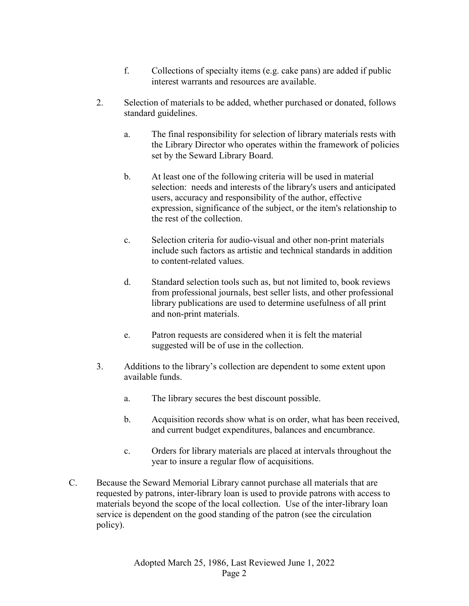- f. Collections of specialty items (e.g. cake pans) are added if public interest warrants and resources are available.
- 2. Selection of materials to be added, whether purchased or donated, follows standard guidelines.
	- a. The final responsibility for selection of library materials rests with the Library Director who operates within the framework of policies set by the Seward Library Board.
	- b. At least one of the following criteria will be used in material selection: needs and interests of the library's users and anticipated users, accuracy and responsibility of the author, effective expression, significance of the subject, or the item's relationship to the rest of the collection.
	- c. Selection criteria for audio-visual and other non-print materials include such factors as artistic and technical standards in addition to content-related values.
	- d. Standard selection tools such as, but not limited to, book reviews from professional journals, best seller lists, and other professional library publications are used to determine usefulness of all print and non-print materials.
	- e. Patron requests are considered when it is felt the material suggested will be of use in the collection.
- 3. Additions to the library's collection are dependent to some extent upon available funds.
	- a. The library secures the best discount possible.
	- b. Acquisition records show what is on order, what has been received, and current budget expenditures, balances and encumbrance.
	- c. Orders for library materials are placed at intervals throughout the year to insure a regular flow of acquisitions.
- C. Because the Seward Memorial Library cannot purchase all materials that are requested by patrons, inter-library loan is used to provide patrons with access to materials beyond the scope of the local collection. Use of the inter-library loan service is dependent on the good standing of the patron (see the circulation policy).